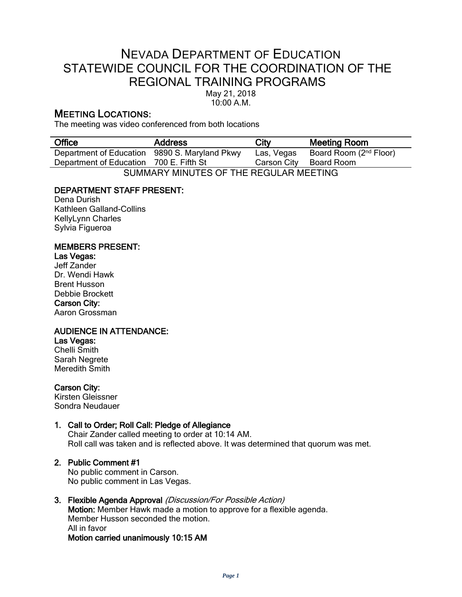# NEVADA DEPARTMENT OF EDUCATION STATEWIDE COUNCIL FOR THE COORDINATION OF THE REGIONAL TRAINING PROGRAMS

May 21, 2018 10:00 A.M.

## MEETING LOCATIONS:

The meeting was video conferenced from both locations

| <b>Office</b>                               | <b>Address</b>        | City        | <b>Meeting Room</b>                |
|---------------------------------------------|-----------------------|-------------|------------------------------------|
| Department of Education                     | 9890 S. Maryland Pkwy | Las, Vegas  | Board Room (2 <sup>nd</sup> Floor) |
| Department of Education 700 E. Fifth St     |                       | Carson City | Board Room                         |
| CLIMMADV MINILITES OF THE DECLILAD MEETING. |                       |             |                                    |

SUMMARY MINUTES OF THE REGULAR MEETING

## DEPARTMENT STAFF PRESENT:

Dena Durish Kathleen Galland-Collins KellyLynn Charles Sylvia Figueroa

## MEMBERS PRESENT:

## Las Vegas:

Jeff Zander Dr. Wendi Hawk Brent Husson Debbie Brockett Carson City: Aaron Grossman

## AUDIENCE IN ATTENDANCE:

Las Vegas: Chelli Smith Sarah Negrete Meredith Smith

Carson City: Kirsten Gleissner Sondra Neudauer

## 1. Call to Order; Roll Call: Pledge of Allegiance

Chair Zander called meeting to order at 10:14 AM. Roll call was taken and is reflected above. It was determined that quorum was met.

## 2. Public Comment #1

No public comment in Carson. No public comment in Las Vegas.

## 3. Flexible Agenda Approval (Discussion/For Possible Action)

Motion: Member Hawk made a motion to approve for a flexible agenda. Member Husson seconded the motion. All in favor Motion carried unanimously 10:15 AM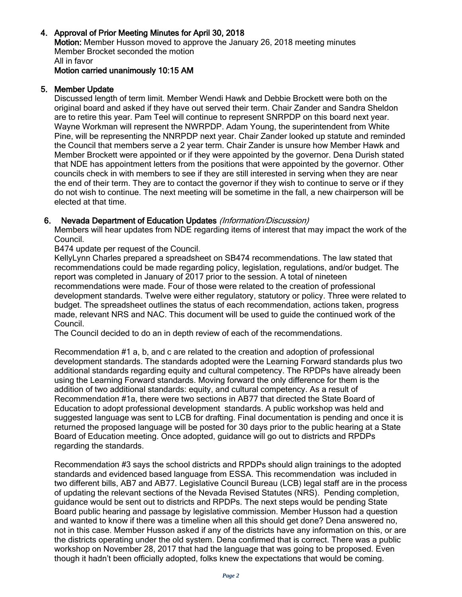## 4. Approval of Prior Meeting Minutes for April 30, 2018

Motion: Member Husson moved to approve the January 26, 2018 meeting minutes Member Brocket seconded the motion All in favor

Motion carried unanimously 10:15 AM

### 5. Member Update

Discussed length of term limit. Member Wendi Hawk and Debbie Brockett were both on the original board and asked if they have out served their term. Chair Zander and Sandra Sheldon are to retire this year. Pam Teel will continue to represent SNRPDP on this board next year. Wayne Workman will represent the NWRPDP. Adam Young, the superintendent from White Pine, will be representing the NNRPDP next year. Chair Zander looked up statute and reminded the Council that members serve a 2 year term. Chair Zander is unsure how Member Hawk and Member Brockett were appointed or if they were appointed by the governor. Dena Durish stated that NDE has appointment letters from the positions that were appointed by the governor. Other councils check in with members to see if they are still interested in serving when they are near the end of their term. They are to contact the governor if they wish to continue to serve or if they do not wish to continue. The next meeting will be sometime in the fall, a new chairperson will be elected at that time.

#### 6. Nevada Department of Education Updates (Information/Discussion)

Members will hear updates from NDE regarding items of interest that may impact the work of the Council.

B474 update per request of the Council.

KellyLynn Charles prepared a spreadsheet on SB474 recommendations. The law stated that recommendations could be made regarding policy, legislation, regulations, and/or budget. The report was completed in January of 2017 prior to the session. A total of nineteen recommendations were made. Four of those were related to the creation of professional development standards. Twelve were either regulatory, statutory or policy. Three were related to budget. The spreadsheet outlines the status of each recommendation, actions taken, progress made, relevant NRS and NAC. This document will be used to guide the continued work of the Council.

The Council decided to do an in depth review of each of the recommendations.

Recommendation #1 a, b, and c are related to the creation and adoption of professional development standards. The standards adopted were the Learning Forward standards plus two additional standards regarding equity and cultural competency. The RPDPs have already been using the Learning Forward standards. Moving forward the only difference for them is the addition of two additional standards: equity, and cultural competency. As a result of Recommendation #1a, there were two sections in AB77 that directed the State Board of Education to adopt professional development standards. A public workshop was held and suggested language was sent to LCB for drafting. Final documentation is pending and once it is returned the proposed language will be posted for 30 days prior to the public hearing at a State Board of Education meeting. Once adopted, guidance will go out to districts and RPDPs regarding the standards.

Recommendation #3 says the school districts and RPDPs should align trainings to the adopted standards and evidenced based language from ESSA. This recommendation was included in two different bills, AB7 and AB77. Legislative Council Bureau (LCB) legal staff are in the process of updating the relevant sections of the Nevada Revised Statutes (NRS). Pending completion, guidance would be sent out to districts and RPDPs. The next steps would be pending State Board public hearing and passage by legislative commission. Member Husson had a question and wanted to know if there was a timeline when all this should get done? Dena answered no, not in this case. Member Husson asked if any of the districts have any information on this, or are the districts operating under the old system. Dena confirmed that is correct. There was a public workshop on November 28, 2017 that had the language that was going to be proposed. Even though it hadn't been officially adopted, folks knew the expectations that would be coming.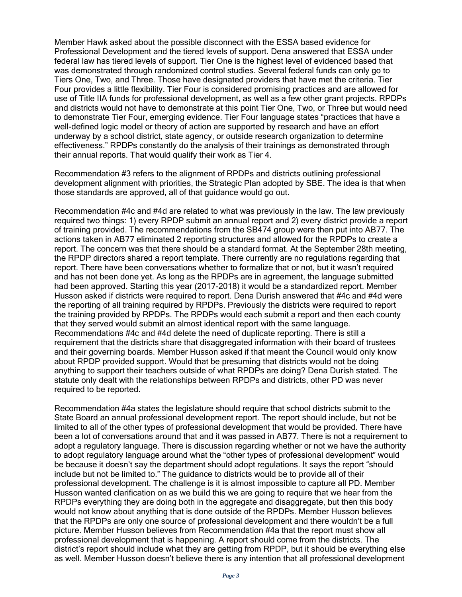Member Hawk asked about the possible disconnect with the ESSA based evidence for Professional Development and the tiered levels of support. Dena answered that ESSA under federal law has tiered levels of support. Tier One is the highest level of evidenced based that was demonstrated through randomized control studies. Several federal funds can only go to Tiers One, Two, and Three. Those have designated providers that have met the criteria. Tier Four provides a little flexibility. Tier Four is considered promising practices and are allowed for use of Title IIA funds for professional development, as well as a few other grant projects. RPDPs and districts would not have to demonstrate at this point Tier One, Two, or Three but would need to demonstrate Tier Four, emerging evidence. Tier Four language states "practices that have a well-defined logic model or theory of action are supported by research and have an effort underway by a school district, state agency, or outside research organization to determine effectiveness." RPDPs constantly do the analysis of their trainings as demonstrated through their annual reports. That would qualify their work as Tier 4.

Recommendation #3 refers to the alignment of RPDPs and districts outlining professional development alignment with priorities, the Strategic Plan adopted by SBE. The idea is that when those standards are approved, all of that guidance would go out.

Recommendation #4c and #4d are related to what was previously in the law. The law previously required two things: 1) every RPDP submit an annual report and 2) every district provide a report of training provided. The recommendations from the SB474 group were then put into AB77. The actions taken in AB77 eliminated 2 reporting structures and allowed for the RPDPs to create a report. The concern was that there should be a standard format. At the September 28th meeting, the RPDP directors shared a report template. There currently are no regulations regarding that report. There have been conversations whether to formalize that or not, but it wasn't required and has not been done yet. As long as the RPDPs are in agreement, the language submitted had been approved. Starting this year (2017-2018) it would be a standardized report. Member Husson asked if districts were required to report. Dena Durish answered that #4c and #4d were the reporting of all training required by RPDPs. Previously the districts were required to report the training provided by RPDPs. The RPDPs would each submit a report and then each county that they served would submit an almost identical report with the same language. Recommendations #4c and #4d delete the need of duplicate reporting. There is still a requirement that the districts share that disaggregated information with their board of trustees and their governing boards. Member Husson asked if that meant the Council would only know about RPDP provided support. Would that be presuming that districts would not be doing anything to support their teachers outside of what RPDPs are doing? Dena Durish stated. The statute only dealt with the relationships between RPDPs and districts, other PD was never required to be reported.

Recommendation #4a states the legislature should require that school districts submit to the State Board an annual professional development report. The report should include, but not be limited to all of the other types of professional development that would be provided. There have been a lot of conversations around that and it was passed in AB77. There is not a requirement to adopt a regulatory language. There is discussion regarding whether or not we have the authority to adopt regulatory language around what the "other types of professional development" would be because it doesn't say the department should adopt regulations. It says the report "should include but not be limited to." The guidance to districts would be to provide all of their professional development. The challenge is it is almost impossible to capture all PD. Member Husson wanted clarification on as we build this we are going to require that we hear from the RPDPs everything they are doing both in the aggregate and disaggregate, but then this body would not know about anything that is done outside of the RPDPs. Member Husson believes that the RPDPs are only one source of professional development and there wouldn't be a full picture. Member Husson believes from Recommendation #4a that the report must show all professional development that is happening. A report should come from the districts. The district's report should include what they are getting from RPDP, but it should be everything else as well. Member Husson doesn't believe there is any intention that all professional development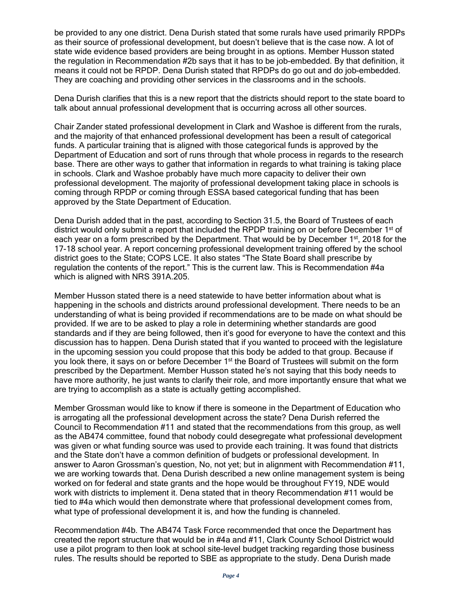be provided to any one district. Dena Durish stated that some rurals have used primarily RPDPs as their source of professional development, but doesn't believe that is the case now. A lot of state wide evidence based providers are being brought in as options. Member Husson stated the regulation in Recommendation #2b says that it has to be job-embedded. By that definition, it means it could not be RPDP. Dena Durish stated that RPDPs do go out and do job-embedded. They are coaching and providing other services in the classrooms and in the schools.

Dena Durish clarifies that this is a new report that the districts should report to the state board to talk about annual professional development that is occurring across all other sources.

Chair Zander stated professional development in Clark and Washoe is different from the rurals, and the majority of that enhanced professional development has been a result of categorical funds. A particular training that is aligned with those categorical funds is approved by the Department of Education and sort of runs through that whole process in regards to the research base. There are other ways to gather that information in regards to what training is taking place in schools. Clark and Washoe probably have much more capacity to deliver their own professional development. The majority of professional development taking place in schools is coming through RPDP or coming through ESSA based categorical funding that has been approved by the State Department of Education.

Dena Durish added that in the past, according to Section 31.5, the Board of Trustees of each district would only submit a report that included the RPDP training on or before December 1<sup>st</sup> of each year on a form prescribed by the Department. That would be by December 1<sup>st</sup>, 2018 for the 17-18 school year. A report concerning professional development training offered by the school district goes to the State; COPS LCE. It also states "The State Board shall prescribe by regulation the contents of the report." This is the current law. This is Recommendation #4a which is aligned with NRS 391A.205.

Member Husson stated there is a need statewide to have better information about what is happening in the schools and districts around professional development. There needs to be an understanding of what is being provided if recommendations are to be made on what should be provided. If we are to be asked to play a role in determining whether standards are good standards and if they are being followed, then it's good for everyone to have the context and this discussion has to happen. Dena Durish stated that if you wanted to proceed with the legislature in the upcoming session you could propose that this body be added to that group. Because if you look there, it says on or before December 1<sup>st</sup> the Board of Trustees will submit on the form prescribed by the Department. Member Husson stated he's not saying that this body needs to have more authority, he just wants to clarify their role, and more importantly ensure that what we are trying to accomplish as a state is actually getting accomplished.

Member Grossman would like to know if there is someone in the Department of Education who is arrogating all the professional development across the state? Dena Durish referred the Council to Recommendation #11 and stated that the recommendations from this group, as well as the AB474 committee, found that nobody could desegregate what professional development was given or what funding source was used to provide each training. It was found that districts and the State don't have a common definition of budgets or professional development. In answer to Aaron Grossman's question, No, not yet; but in alignment with Recommendation #11, we are working towards that. Dena Durish described a new online management system is being worked on for federal and state grants and the hope would be throughout FY19, NDE would work with districts to implement it. Dena stated that in theory Recommendation #11 would be tied to #4a which would then demonstrate where that professional development comes from, what type of professional development it is, and how the funding is channeled.

Recommendation #4b. The AB474 Task Force recommended that once the Department has created the report structure that would be in #4a and #11, Clark County School District would use a pilot program to then look at school site-level budget tracking regarding those business rules. The results should be reported to SBE as appropriate to the study. Dena Durish made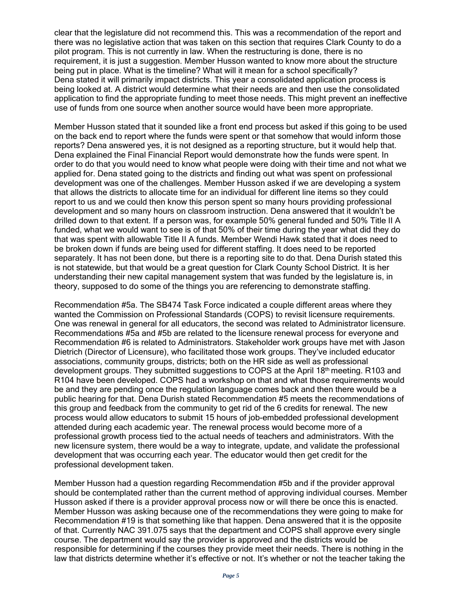clear that the legislature did not recommend this. This was a recommendation of the report and there was no legislative action that was taken on this section that requires Clark County to do a pilot program. This is not currently in law. When the restructuring is done, there is no requirement, it is just a suggestion. Member Husson wanted to know more about the structure being put in place. What is the timeline? What will it mean for a school specifically? Dena stated it will primarily impact districts. This year a consolidated application process is being looked at. A district would determine what their needs are and then use the consolidated application to find the appropriate funding to meet those needs. This might prevent an ineffective use of funds from one source when another source would have been more appropriate.

Member Husson stated that it sounded like a front end process but asked if this going to be used on the back end to report where the funds were spent or that somehow that would inform those reports? Dena answered yes, it is not designed as a reporting structure, but it would help that. Dena explained the Final Financial Report would demonstrate how the funds were spent. In order to do that you would need to know what people were doing with their time and not what we applied for. Dena stated going to the districts and finding out what was spent on professional development was one of the challenges. Member Husson asked if we are developing a system that allows the districts to allocate time for an individual for different line items so they could report to us and we could then know this person spent so many hours providing professional development and so many hours on classroom instruction. Dena answered that it wouldn't be drilled down to that extent. If a person was, for example 50% general funded and 50% Title II A funded, what we would want to see is of that 50% of their time during the year what did they do that was spent with allowable Title II A funds. Member Wendi Hawk stated that it does need to be broken down if funds are being used for different staffing. It does need to be reported separately. It has not been done, but there is a reporting site to do that. Dena Durish stated this is not statewide, but that would be a great question for Clark County School District. It is her understanding their new capital management system that was funded by the legislature is, in theory, supposed to do some of the things you are referencing to demonstrate staffing.

Recommendation #5a. The SB474 Task Force indicated a couple different areas where they wanted the Commission on Professional Standards (COPS) to revisit licensure requirements. One was renewal in general for all educators, the second was related to Administrator licensure. Recommendations #5a and #5b are related to the licensure renewal process for everyone and Recommendation #6 is related to Administrators. Stakeholder work groups have met with Jason Dietrich (Director of Licensure), who facilitated those work groups. They've included educator associations, community groups, districts; both on the HR side as well as professional development groups. They submitted suggestions to COPS at the April 18<sup>th</sup> meeting. R103 and R104 have been developed. COPS had a workshop on that and what those requirements would be and they are pending once the regulation language comes back and then there would be a public hearing for that. Dena Durish stated Recommendation #5 meets the recommendations of this group and feedback from the community to get rid of the 6 credits for renewal. The new process would allow educators to submit 15 hours of job-embedded professional development attended during each academic year. The renewal process would become more of a professional growth process tied to the actual needs of teachers and administrators. With the new licensure system, there would be a way to integrate, update, and validate the professional development that was occurring each year. The educator would then get credit for the professional development taken.

Member Husson had a question regarding Recommendation #5b and if the provider approval should be contemplated rather than the current method of approving individual courses. Member Husson asked if there is a provider approval process now or will there be once this is enacted. Member Husson was asking because one of the recommendations they were going to make for Recommendation #19 is that something like that happen. Dena answered that it is the opposite of that. Currently NAC 391.075 says that the department and COPS shall approve every single course. The department would say the provider is approved and the districts would be responsible for determining if the courses they provide meet their needs. There is nothing in the law that districts determine whether it's effective or not. It's whether or not the teacher taking the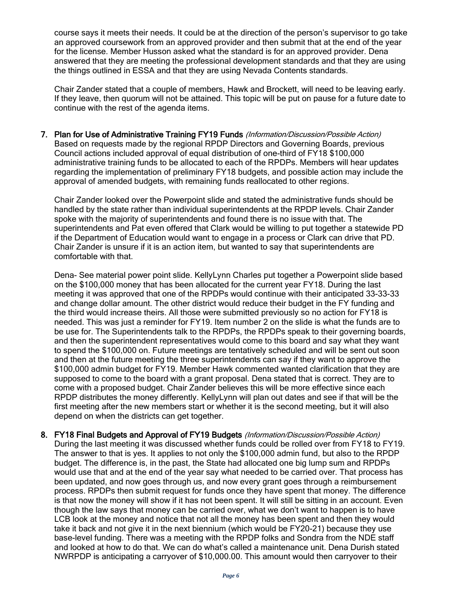course says it meets their needs. It could be at the direction of the person's supervisor to go take an approved coursework from an approved provider and then submit that at the end of the year for the license. Member Husson asked what the standard is for an approved provider. Dena answered that they are meeting the professional development standards and that they are using the things outlined in ESSA and that they are using Nevada Contents standards.

Chair Zander stated that a couple of members, Hawk and Brockett, will need to be leaving early. If they leave, then quorum will not be attained. This topic will be put on pause for a future date to continue with the rest of the agenda items.

7. Plan for Use of Administrative Training FY19 Funds (Information/Discussion/Possible Action) Based on requests made by the regional RPDP Directors and Governing Boards, previous Council actions included approval of equal distribution of one-third of FY18 \$100,000 administrative training funds to be allocated to each of the RPDPs. Members will hear updates regarding the implementation of preliminary FY18 budgets, and possible action may include the approval of amended budgets, with remaining funds reallocated to other regions.

Chair Zander looked over the Powerpoint slide and stated the administrative funds should be handled by the state rather than individual superintendents at the RPDP levels. Chair Zander spoke with the majority of superintendents and found there is no issue with that. The superintendents and Pat even offered that Clark would be willing to put together a statewide PD if the Department of Education would want to engage in a process or Clark can drive that PD. Chair Zander is unsure if it is an action item, but wanted to say that superintendents are comfortable with that.

Dena- See material power point slide. KellyLynn Charles put together a Powerpoint slide based on the \$100,000 money that has been allocated for the current year FY18. During the last meeting it was approved that one of the RPDPs would continue with their anticipated 33-33-33 and change dollar amount. The other district would reduce their budget in the FY funding and the third would increase theirs. All those were submitted previously so no action for FY18 is needed. This was just a reminder for FY19. Item number 2 on the slide is what the funds are to be use for. The Superintendents talk to the RPDPs, the RPDPs speak to their governing boards, and then the superintendent representatives would come to this board and say what they want to spend the \$100,000 on. Future meetings are tentatively scheduled and will be sent out soon and then at the future meeting the three superintendents can say if they want to approve the \$100,000 admin budget for FY19. Member Hawk commented wanted clarification that they are supposed to come to the board with a grant proposal. Dena stated that is correct. They are to come with a proposed budget. Chair Zander believes this will be more effective since each RPDP distributes the money differently. KellyLynn will plan out dates and see if that will be the first meeting after the new members start or whether it is the second meeting, but it will also depend on when the districts can get together.

8. FY18 Final Budgets and Approval of FY19 Budgets (Information/Discussion/Possible Action) During the last meeting it was discussed whether funds could be rolled over from FY18 to FY19. The answer to that is yes. It applies to not only the \$100,000 admin fund, but also to the RPDP budget. The difference is, in the past, the State had allocated one big lump sum and RPDPs would use that and at the end of the year say what needed to be carried over. That process has been updated, and now goes through us, and now every grant goes through a reimbursement process. RPDPs then submit request for funds once they have spent that money. The difference is that now the money will show if it has not been spent. It will still be sitting in an account. Even though the law says that money can be carried over, what we don't want to happen is to have LCB look at the money and notice that not all the money has been spent and then they would take it back and not give it in the next biennium (which would be FY20-21) because they use base-level funding. There was a meeting with the RPDP folks and Sondra from the NDE staff and looked at how to do that. We can do what's called a maintenance unit. Dena Durish stated NWRPDP is anticipating a carryover of \$10,000.00. This amount would then carryover to their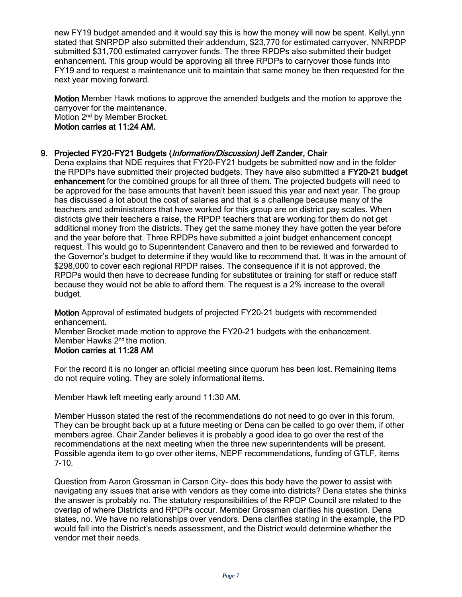new FY19 budget amended and it would say this is how the money will now be spent. KellyLynn stated that SNRPDP also submitted their addendum, \$23,770 for estimated carryover. NNRPDP submitted \$31,700 estimated carryover funds. The three RPDPs also submitted their budget enhancement. This group would be approving all three RPDPs to carryover those funds into FY19 and to request a maintenance unit to maintain that same money be then requested for the next year moving forward.

Motion Member Hawk motions to approve the amended budgets and the motion to approve the carryover for the maintenance. Motion 2nd by Member Brocket.

Motion carries at 11:24 AM.

### 9. Projected FY20-FY21 Budgets (Information/Discussion) Jeff Zander, Chair

Dena explains that NDE requires that FY20-FY21 budgets be submitted now and in the folder the RPDPs have submitted their projected budgets. They have also submitted a FY20-21 budget enhancement for the combined groups for all three of them. The projected budgets will need to be approved for the base amounts that haven't been issued this year and next year. The group has discussed a lot about the cost of salaries and that is a challenge because many of the teachers and administrators that have worked for this group are on district pay scales. When districts give their teachers a raise, the RPDP teachers that are working for them do not get additional money from the districts. They get the same money they have gotten the year before and the year before that. Three RPDPs have submitted a joint budget enhancement concept request. This would go to Superintendent Canavero and then to be reviewed and forwarded to the Governor's budget to determine if they would like to recommend that. It was in the amount of \$298,000 to cover each regional RPDP raises. The consequence if it is not approved, the RPDPs would then have to decrease funding for substitutes or training for staff or reduce staff because they would not be able to afford them. The request is a 2% increase to the overall budget.

Motion Approval of estimated budgets of projected FY20-21 budgets with recommended enhancement.

Member Brocket made motion to approve the FY20-21 budgets with the enhancement. Member Hawks 2<sup>nd</sup> the motion.

## Motion carries at 11:28 AM

For the record it is no longer an official meeting since quorum has been lost. Remaining items do not require voting. They are solely informational items.

Member Hawk left meeting early around 11:30 AM.

Member Husson stated the rest of the recommendations do not need to go over in this forum. They can be brought back up at a future meeting or Dena can be called to go over them, if other members agree. Chair Zander believes it is probably a good idea to go over the rest of the recommendations at the next meeting when the three new superintendents will be present. Possible agenda item to go over other items, NEPF recommendations, funding of GTLF, items 7-10.

Question from Aaron Grossman in Carson City- does this body have the power to assist with navigating any issues that arise with vendors as they come into districts? Dena states she thinks the answer is probably no. The statutory responsibilities of the RPDP Council are related to the overlap of where Districts and RPDPs occur. Member Grossman clarifies his question. Dena states, no. We have no relationships over vendors. Dena clarifies stating in the example, the PD would fall into the District's needs assessment, and the District would determine whether the vendor met their needs.